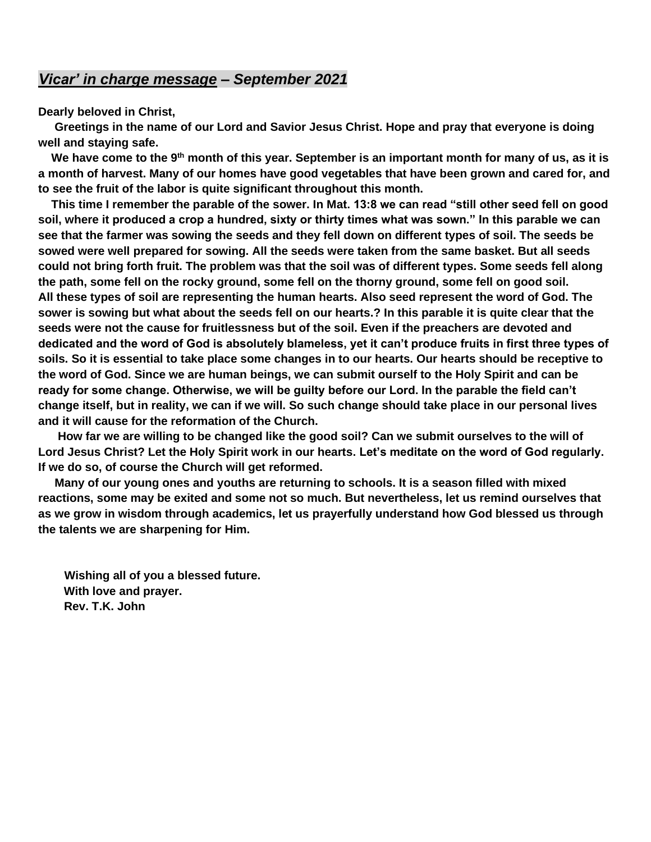## *Vicar' in charge message – September 2021*

**Dearly beloved in Christ,**

 **Greetings in the name of our Lord and Savior Jesus Christ. Hope and pray that everyone is doing well and staying safe.** 

 **We have come to the 9th month of this year. September is an important month for many of us, as it is a month of harvest. Many of our homes have good vegetables that have been grown and cared for, and to see the fruit of the labor is quite significant throughout this month.**

 **This time I remember the parable of the sower. In Mat. 13:8 we can read "still other seed fell on good soil, where it produced a crop a hundred, sixty or thirty times what was sown." In this parable we can see that the farmer was sowing the seeds and they fell down on different types of soil. The seeds be sowed were well prepared for sowing. All the seeds were taken from the same basket. But all seeds could not bring forth fruit. The problem was that the soil was of different types. Some seeds fell along the path, some fell on the rocky ground, some fell on the thorny ground, some fell on good soil. All these types of soil are representing the human hearts. Also seed represent the word of God. The sower is sowing but what about the seeds fell on our hearts.? In this parable it is quite clear that the seeds were not the cause for fruitlessness but of the soil. Even if the preachers are devoted and dedicated and the word of God is absolutely blameless, yet it can't produce fruits in first three types of soils. So it is essential to take place some changes in to our hearts. Our hearts should be receptive to the word of God. Since we are human beings, we can submit ourself to the Holy Spirit and can be ready for some change. Otherwise, we will be guilty before our Lord. In the parable the field can't change itself, but in reality, we can if we will. So such change should take place in our personal lives and it will cause for the reformation of the Church.**

 **How far we are willing to be changed like the good soil? Can we submit ourselves to the will of Lord Jesus Christ? Let the Holy Spirit work in our hearts. Let's meditate on the word of God regularly. If we do so, of course the Church will get reformed.**

 **Many of our young ones and youths are returning to schools. It is a season filled with mixed reactions, some may be exited and some not so much. But nevertheless, let us remind ourselves that as we grow in wisdom through academics, let us prayerfully understand how God blessed us through the talents we are sharpening for Him.**

 **Wishing all of you a blessed future. With love and prayer. Rev. T.K. John**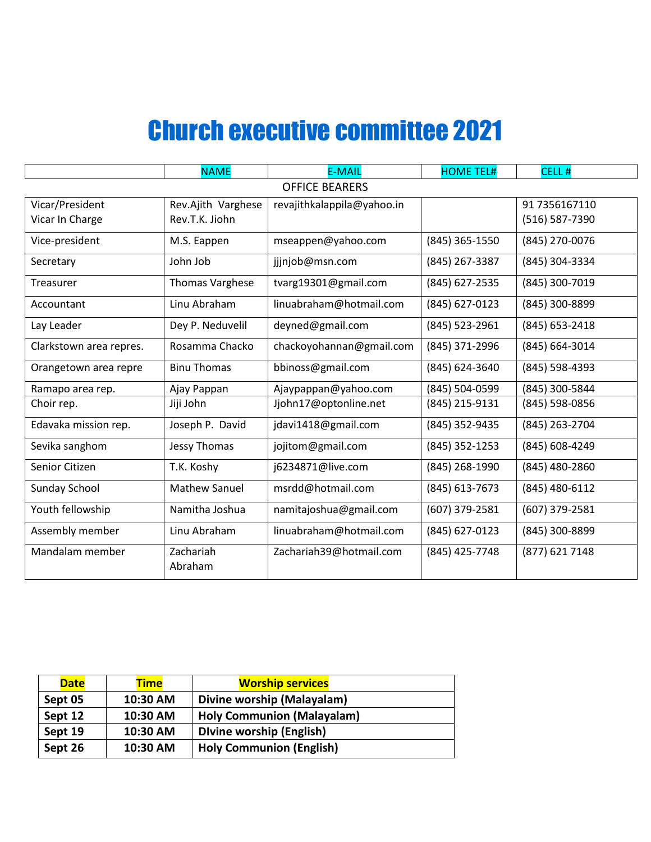# Church executive committee 2021

|                         | <b>NAME</b>            | <b>E-MAIL</b>              | <b>HOME TEL#</b> | CELL <sub>#</sub> |  |
|-------------------------|------------------------|----------------------------|------------------|-------------------|--|
| <b>OFFICE BEARERS</b>   |                        |                            |                  |                   |  |
| Vicar/President         | Rev.Ajith Varghese     | revajithkalappila@yahoo.in |                  | 91 7356167110     |  |
| Vicar In Charge         | Rev.T.K. Jiohn         |                            |                  | (516) 587-7390    |  |
| Vice-president          | M.S. Eappen            | mseappen@yahoo.com         | (845) 365-1550   | (845) 270-0076    |  |
| Secretary               | John Job               | jjjnjob@msn.com            | (845) 267-3387   | (845) 304-3334    |  |
| Treasurer               | <b>Thomas Varghese</b> | tvarg19301@gmail.com       | (845) 627-2535   | (845) 300-7019    |  |
| Accountant              | Linu Abraham           | linuabraham@hotmail.com    | (845) 627-0123   | (845) 300-8899    |  |
| Lay Leader              | Dey P. Neduvelil       | deyned@gmail.com           | (845) 523-2961   | (845) 653-2418    |  |
| Clarkstown area repres. | Rosamma Chacko         | chackoyohannan@gmail.com   | (845) 371-2996   | (845) 664-3014    |  |
| Orangetown area repre   | <b>Binu Thomas</b>     | bbinoss@gmail.com          | (845) 624-3640   | (845) 598-4393    |  |
| Ramapo area rep.        | Ajay Pappan            | Ajaypappan@yahoo.com       | (845) 504-0599   | (845) 300-5844    |  |
| Choir rep.              | Jiji John              | Jjohn17@optonline.net      | (845) 215-9131   | (845) 598-0856    |  |
| Edavaka mission rep.    | Joseph P. David        | jdavi1418@gmail.com        | (845) 352-9435   | (845) 263-2704    |  |
| Sevika sanghom          | Jessy Thomas           | jojitom@gmail.com          | (845) 352-1253   | (845) 608-4249    |  |
| Senior Citizen          | T.K. Koshy             | j6234871@live.com          | (845) 268-1990   | (845) 480-2860    |  |
| Sunday School           | <b>Mathew Sanuel</b>   | msrdd@hotmail.com          | (845) 613-7673   | (845) 480-6112    |  |
| Youth fellowship        | Namitha Joshua         | namitajoshua@gmail.com     | (607) 379-2581   | (607) 379-2581    |  |
| Assembly member         | Linu Abraham           | linuabraham@hotmail.com    | (845) 627-0123   | (845) 300-8899    |  |
| Mandalam member         | Zachariah<br>Abraham   | Zachariah39@hotmail.com    | (845) 425-7748   | (877) 621 7148    |  |

| <b>Date</b> | <b>Time</b> | <b>Worship services</b>           |  |
|-------------|-------------|-----------------------------------|--|
| Sept 05     | 10:30 AM    | Divine worship (Malayalam)        |  |
| Sept 12     | 10:30 AM    | <b>Holy Communion (Malayalam)</b> |  |
| Sept 19     | 10:30 AM    | <b>Divine worship (English)</b>   |  |
| Sept 26     | 10:30 AM    | <b>Holy Communion (English)</b>   |  |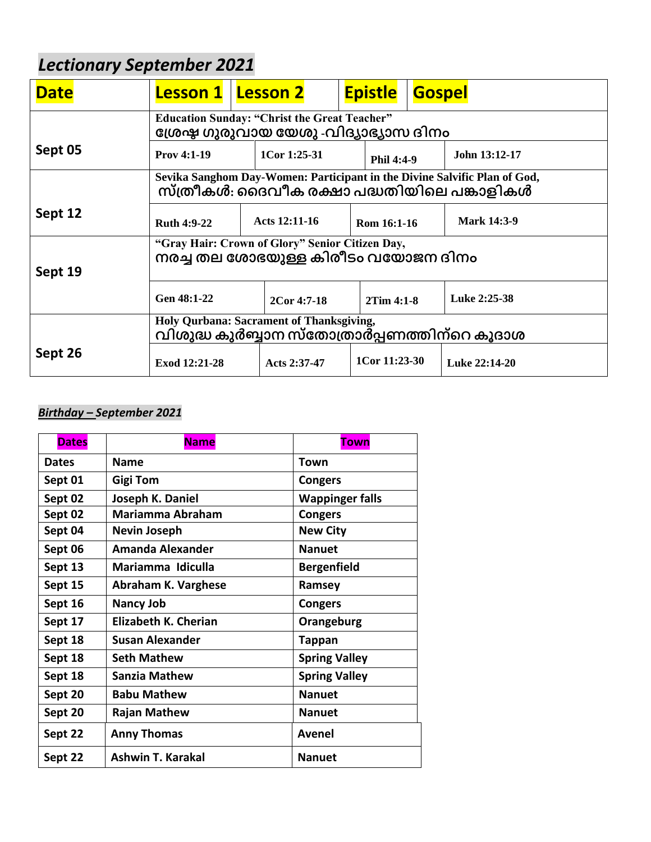# *Lectionary September 2021*

| <b>Date</b> | <b>Lesson 1</b>                                                                                                         |  | <b>Lesson 2</b> |            | <b>Epistle</b>     | <b>Gospel</b> |                    |
|-------------|-------------------------------------------------------------------------------------------------------------------------|--|-----------------|------------|--------------------|---------------|--------------------|
|             | <b>Education Sunday: "Christ the Great Teacher"</b><br>ശ്രേഷ ഗുരുവായ യേശു -വിദ്യാഭ്യാസ ദിനം                             |  |                 |            |                    |               |                    |
| Sept 05     | <b>Prov 4:1-19</b><br>$1$ Cor 1:25-31                                                                                   |  |                 | Phil 4:4-9 |                    | John 13:12-17 |                    |
|             | Sevika Sanghom Day-Women: Participant in the Divine Salvific Plan of God,<br>സ്ത്രീകൾ: ദൈവീക രക്ഷാ പദ്ധതിയിലെ പങ്കാളികൾ |  |                 |            |                    |               |                    |
| Sept 12     | <b>Ruth 4:9-22</b>                                                                                                      |  | Acts 12:11-16   |            | Rom 16:1-16        |               | <b>Mark 14:3-9</b> |
| Sept 19     | "Gray Hair: Crown of Glory" Senior Citizen Day,<br>നരച്ച തല ശോഭയുള്ള കിരീടം വയോജന ദിനം                                  |  |                 |            |                    |               |                    |
|             | Gen 48:1-22                                                                                                             |  | 2Cor 4:7-18     |            | 2Tim 4:1-8         |               | Luke 2:25-38       |
|             | Holy Qurbana: Sacrament of Thanksgiving,<br>വിശുദ്ധ കുർബ്ബാന സ്തോത്രാർപ്പണത്തിന്റെ കൂദാശ                                |  |                 |            |                    |               |                    |
| Sept 26     | Exod 12:21-28                                                                                                           |  | Acts 2:37-47    |            | $1$ Cor $11:23-30$ |               | Luke 22:14-20      |

# *Birthday – September 2021*

| <b>Dates</b> | <b>Name</b>             | <b>Town</b>            |
|--------------|-------------------------|------------------------|
| <b>Dates</b> | <b>Name</b>             | Town                   |
| Sept 01      | <b>Gigi Tom</b>         | <b>Congers</b>         |
| Sept 02      | Joseph K. Daniel        | <b>Wappinger falls</b> |
| Sept 02      | <b>Mariamma Abraham</b> | <b>Congers</b>         |
| Sept 04      | <b>Nevin Joseph</b>     | <b>New City</b>        |
| Sept 06      | Amanda Alexander        | <b>Nanuet</b>          |
| Sept 13      | Mariamma Idiculla       | <b>Bergenfield</b>     |
| Sept 15      | Abraham K. Varghese     | Ramsey                 |
| Sept 16      | <b>Nancy Job</b>        | <b>Congers</b>         |
| Sept 17      | Elizabeth K. Cherian    | Orangeburg             |
| Sept 18      | <b>Susan Alexander</b>  | <b>Tappan</b>          |
| Sept 18      | <b>Seth Mathew</b>      | <b>Spring Valley</b>   |
| Sept 18      | Sanzia Mathew           | <b>Spring Valley</b>   |
| Sept 20      | <b>Babu Mathew</b>      | <b>Nanuet</b>          |
| Sept 20      | Rajan Mathew            | <b>Nanuet</b>          |
| Sept 22      | <b>Anny Thomas</b>      | Avenel                 |
| Sept 22      | Ashwin T. Karakal       | <b>Nanuet</b>          |